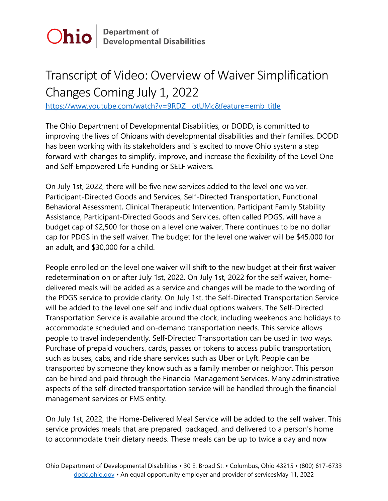

## Transcript of Video: Overview of Waiver Simplification Changes Coming July 1, 2022

[https://www.youtube.com/watch?v=9RDZ\\_\\_otUMc&feature=emb\\_title](https://www.youtube.com/watch?v=9RDZ__otUMc&feature=emb_title)

The Ohio Department of Developmental Disabilities, or DODD, is committed to improving the lives of Ohioans with developmental disabilities and their families. DODD has been working with its stakeholders and is excited to move Ohio system a step forward with changes to simplify, improve, and increase the flexibility of the Level One and Self-Empowered Life Funding or SELF waivers.

On July 1st, 2022, there will be five new services added to the level one waiver. Participant-Directed Goods and Services, Self-Directed Transportation, Functional Behavioral Assessment, Clinical Therapeutic Intervention, Participant Family Stability Assistance, Participant-Directed Goods and Services, often called PDGS, will have a budget cap of \$2,500 for those on a level one waiver. There continues to be no dollar cap for PDGS in the self waiver. The budget for the level one waiver will be \$45,000 for an adult, and \$30,000 for a child.

People enrolled on the level one waiver will shift to the new budget at their first waiver redetermination on or after July 1st, 2022. On July 1st, 2022 for the self waiver, homedelivered meals will be added as a service and changes will be made to the wording of the PDGS service to provide clarity. On July 1st, the Self-Directed Transportation Service will be added to the level one self and individual options waivers. The Self-Directed Transportation Service is available around the clock, including weekends and holidays to accommodate scheduled and on-demand transportation needs. This service allows people to travel independently. Self-Directed Transportation can be used in two ways. Purchase of prepaid vouchers, cards, passes or tokens to access public transportation, such as buses, cabs, and ride share services such as Uber or Lyft. People can be transported by someone they know such as a family member or neighbor. This person can be hired and paid through the Financial Management Services. Many administrative aspects of the self-directed transportation service will be handled through the financial management services or FMS entity.

On July 1st, 2022, the Home-Delivered Meal Service will be added to the self waiver. This service provides meals that are prepared, packaged, and delivered to a person's home to accommodate their dietary needs. These meals can be up to twice a day and now